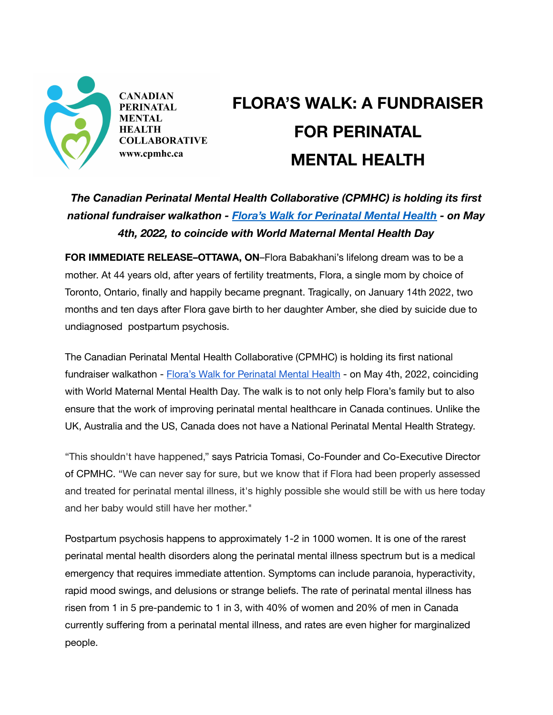

## **FLORA'S WALK: A FUNDRAISER FOR PERINATAL MENTAL HEALTH**

*The Canadian Perinatal Mental Health Collaborative (CPMHC) is holding its first national fundraiser walkathon - [Flora's Walk for Perinatal](https://floras-walk-for-perinatal-mental-health.raisely.com/) Mental Health - on May 4th, 2022, to coincide with World Maternal Mental Health Day*

**FOR IMMEDIATE RELEASE–OTTAWA, ON**–Flora Babakhani's lifelong dream was to be a mother. At 44 years old, after years of fertility treatments, Flora, a single mom by choice of Toronto, Ontario, finally and happily became pregnant. Tragically, on January 14th 2022, two months and ten days after Flora gave birth to her daughter Amber, she died by suicide due to undiagnosed postpartum psychosis.

The Canadian Perinatal Mental Health Collaborative (CPMHC) is holding its first national fundraiser walkathon - Flora's Walk for [Perinatal](https://floras-walk-for-perinatal-mental-health.raisely.com/) Mental Health - on May 4th, 2022, coinciding with World Maternal Mental Health Day. The walk is to not only help Flora's family but to also ensure that the work of improving perinatal mental healthcare in Canada continues. Unlike the UK, Australia and the US, Canada does not have a National Perinatal Mental Health Strategy.

"This shouldn't have happened," says Patricia Tomasi, Co-Founder and Co-Executive Director of CPMHC. "We can never say for sure, but we know that if Flora had been properly assessed and treated for perinatal mental illness, it's highly possible she would still be with us here today and her baby would still have her mother."

Postpartum psychosis happens to approximately 1-2 in 1000 women. It is one of the rarest perinatal mental health disorders along the perinatal mental illness spectrum but is a medical emergency that requires immediate attention. Symptoms can include paranoia, hyperactivity, rapid mood swings, and delusions or strange beliefs. The rate of perinatal mental illness has risen from 1 in 5 pre-pandemic to 1 in 3, with 40% of women and 20% of men in Canada currently suffering from a perinatal mental illness, and rates are even higher for marginalized people.